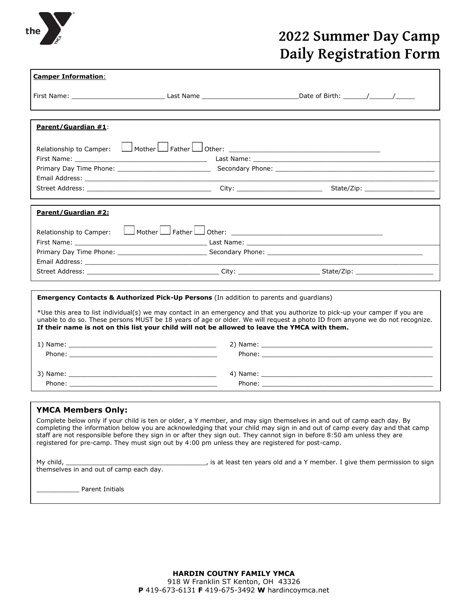

# **2022 Summer Day Camp Daily Registration Form**

| <b>Camper Information:</b>                                                                                                                                                                                                                                                                                                                                                                                                                                                                                                                  |  |  |  |  |  |
|---------------------------------------------------------------------------------------------------------------------------------------------------------------------------------------------------------------------------------------------------------------------------------------------------------------------------------------------------------------------------------------------------------------------------------------------------------------------------------------------------------------------------------------------|--|--|--|--|--|
|                                                                                                                                                                                                                                                                                                                                                                                                                                                                                                                                             |  |  |  |  |  |
| <b>Parent/Guardian #1:</b>                                                                                                                                                                                                                                                                                                                                                                                                                                                                                                                  |  |  |  |  |  |
| Relationship to Camper:                                                                                                                                                                                                                                                                                                                                                                                                                                                                                                                     |  |  |  |  |  |
|                                                                                                                                                                                                                                                                                                                                                                                                                                                                                                                                             |  |  |  |  |  |
|                                                                                                                                                                                                                                                                                                                                                                                                                                                                                                                                             |  |  |  |  |  |
|                                                                                                                                                                                                                                                                                                                                                                                                                                                                                                                                             |  |  |  |  |  |
|                                                                                                                                                                                                                                                                                                                                                                                                                                                                                                                                             |  |  |  |  |  |
| Parent/Guardian #2:                                                                                                                                                                                                                                                                                                                                                                                                                                                                                                                         |  |  |  |  |  |
| Relationship to Camper:                                                                                                                                                                                                                                                                                                                                                                                                                                                                                                                     |  |  |  |  |  |
|                                                                                                                                                                                                                                                                                                                                                                                                                                                                                                                                             |  |  |  |  |  |
|                                                                                                                                                                                                                                                                                                                                                                                                                                                                                                                                             |  |  |  |  |  |
|                                                                                                                                                                                                                                                                                                                                                                                                                                                                                                                                             |  |  |  |  |  |
|                                                                                                                                                                                                                                                                                                                                                                                                                                                                                                                                             |  |  |  |  |  |
| <b>Emergency Contacts &amp; Authorized Pick-Up Persons</b> (In addition to parents and guardians)<br>*Use this area to list individual(s) we may contact in an emergency and that you authorize to pick-up your camper if you are<br>unable to do so. These persons MUST be 18 years of age or older. We will request a photo ID from anyone we do not recognize.<br>If their name is not on this list your child will not be allowed to leave the YMCA with them.                                                                          |  |  |  |  |  |
|                                                                                                                                                                                                                                                                                                                                                                                                                                                                                                                                             |  |  |  |  |  |
|                                                                                                                                                                                                                                                                                                                                                                                                                                                                                                                                             |  |  |  |  |  |
|                                                                                                                                                                                                                                                                                                                                                                                                                                                                                                                                             |  |  |  |  |  |
|                                                                                                                                                                                                                                                                                                                                                                                                                                                                                                                                             |  |  |  |  |  |
|                                                                                                                                                                                                                                                                                                                                                                                                                                                                                                                                             |  |  |  |  |  |
| <b>YMCA Members Only:</b><br>Complete below only if your child is ten or older, a Y member, and may sign themselves in and out of camp each day. By<br>completing the information below you are acknowledging that your child may sign in and out of camp every day and that camp<br>staff are not responsible before they sign in or after they sign out. They cannot sign in before 8:50 am unless they are<br>registered for pre-camp. They must sign out by 4:00 pm unless they are registered for post-camp.<br><b>Parent Initials</b> |  |  |  |  |  |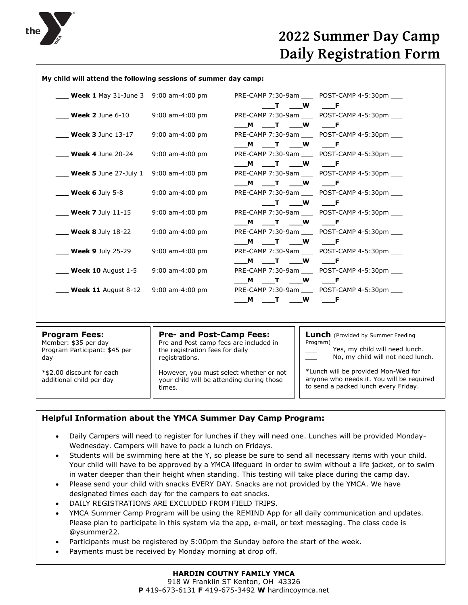

## **2022 Summer Day Camp Daily Registration Form**

### **My child will attend the following sessions of summer day camp:**

| <b>Week 1</b> May 31-June 3 9:00 am-4:00 pm  |                   |               | PRE-CAMP 7:30-9am POST-CAMP 4-5:30pm          |
|----------------------------------------------|-------------------|---------------|-----------------------------------------------|
|                                              |                   | T W F         |                                               |
| <b>Week 2</b> June 6-10                      | 9:00 am-4:00 pm   |               | PRE-CAMP 7:30-9am POST-CAMP 4-5:30pm          |
|                                              |                   |               | <b>F</b>                                      |
| <b>Week 3</b> June $13-17$                   | $9:00$ am-4:00 pm |               | PRE-CAMP 7:30-9am POST-CAMP 4-5:30pm          |
|                                              |                   | M T W         | <b>Figure</b>                                 |
| <b>Week 4</b> June $20-24$                   | $9:00$ am-4:00 pm |               | PRE-CAMP 7:30-9am POST-CAMP 4-5:30pm          |
|                                              |                   | M T W         | <b>Figure</b>                                 |
| <b>Week 5</b> June 27-July 1 9:00 am-4:00 pm |                   |               | PRE-CAMP 7:30-9am POST-CAMP 4-5:30pm          |
|                                              |                   | M T W         | <b>Figure</b>                                 |
| <b>Week 6</b> July 5-8                       | 9:00 am-4:00 pm   |               | PRE-CAMP 7:30-9am ____ POST-CAMP 4-5:30pm ___ |
|                                              |                   | T W           | <b>Figure</b>                                 |
| <b>Week 7</b> July $11-15$                   | $9:00$ am-4:00 pm |               | PRE-CAMP 7:30-9am POST-CAMP 4-5:30pm          |
|                                              |                   | M T W         | <b>Figure</b>                                 |
| <b>Week 8 July 18-22</b>                     | $9:00$ am-4:00 pm |               | PRE-CAMP 7:30-9am ____ POST-CAMP 4-5:30pm ___ |
|                                              |                   | M T W         | <b>Figure</b>                                 |
| <b>Week 9</b> July 25-29                     | $9:00$ am-4:00 pm |               | PRE-CAMP 7:30-9am POST-CAMP 4-5:30pm          |
|                                              |                   | M T W         | <b>F</b>                                      |
| <b>Week 10</b> August $1-5$                  | $9:00$ am-4:00 pm |               | PRE-CAMP 7:30-9am ____ POST-CAMP 4-5:30pm ___ |
|                                              |                   | T W<br>M .    | <b>Figure</b>                                 |
| <b>Week 11</b> August $8-12$ 9:00 am-4:00 pm |                   |               | PRE-CAMP 7:30-9am ____ POST-CAMP 4-5:30pm ___ |
|                                              |                   | <b>W</b><br>M |                                               |
|                                              |                   |               |                                               |

| <b>Program Fees:</b>                                  | <b>Pre- and Post-Camp Fees:</b>                                                                | <b>Lunch</b> (Provided by Summer Feeding                                                                                 |
|-------------------------------------------------------|------------------------------------------------------------------------------------------------|--------------------------------------------------------------------------------------------------------------------------|
| Member: \$35 per day                                  | Pre and Post camp fees are included in                                                         | Program)                                                                                                                 |
| Program Participant: \$45 per                         | the registration fees for daily                                                                | Yes, my child will need lunch.                                                                                           |
| day                                                   | registrations.                                                                                 | No, my child will not need lunch.                                                                                        |
| *\$2.00 discount for each<br>additional child per day | However, you must select whether or not<br>your child will be attending during those<br>times. | *Lunch will be provided Mon-Wed for<br>anyone who needs it. You will be required<br>to send a packed lunch every Friday. |

## **Helpful Information about the YMCA Summer Day Camp Program:**

- Daily Campers will need to register for lunches if they will need one. Lunches will be provided Monday-Wednesday. Campers will have to pack a lunch on Fridays.
- Students will be swimming here at the Y, so please be sure to send all necessary items with your child. Your child will have to be approved by a YMCA lifeguard in order to swim without a life jacket, or to swim in water deeper than their height when standing. This testing will take place during the camp day.
- Please send your child with snacks EVERY DAY. Snacks are not provided by the YMCA. We have designated times each day for the campers to eat snacks.
- DAILY REGISTRATIONS ARE EXCLUDED FROM FIELD TRIPS.
- YMCA Summer Camp Program will be using the REMIND App for all daily communication and updates. Please plan to participate in this system via the app, e-mail, or text messaging. The class code is @ysummer22.
- Participants must be registered by 5:00pm the Sunday before the start of the week.
- Payments must be received by Monday morning at drop off.